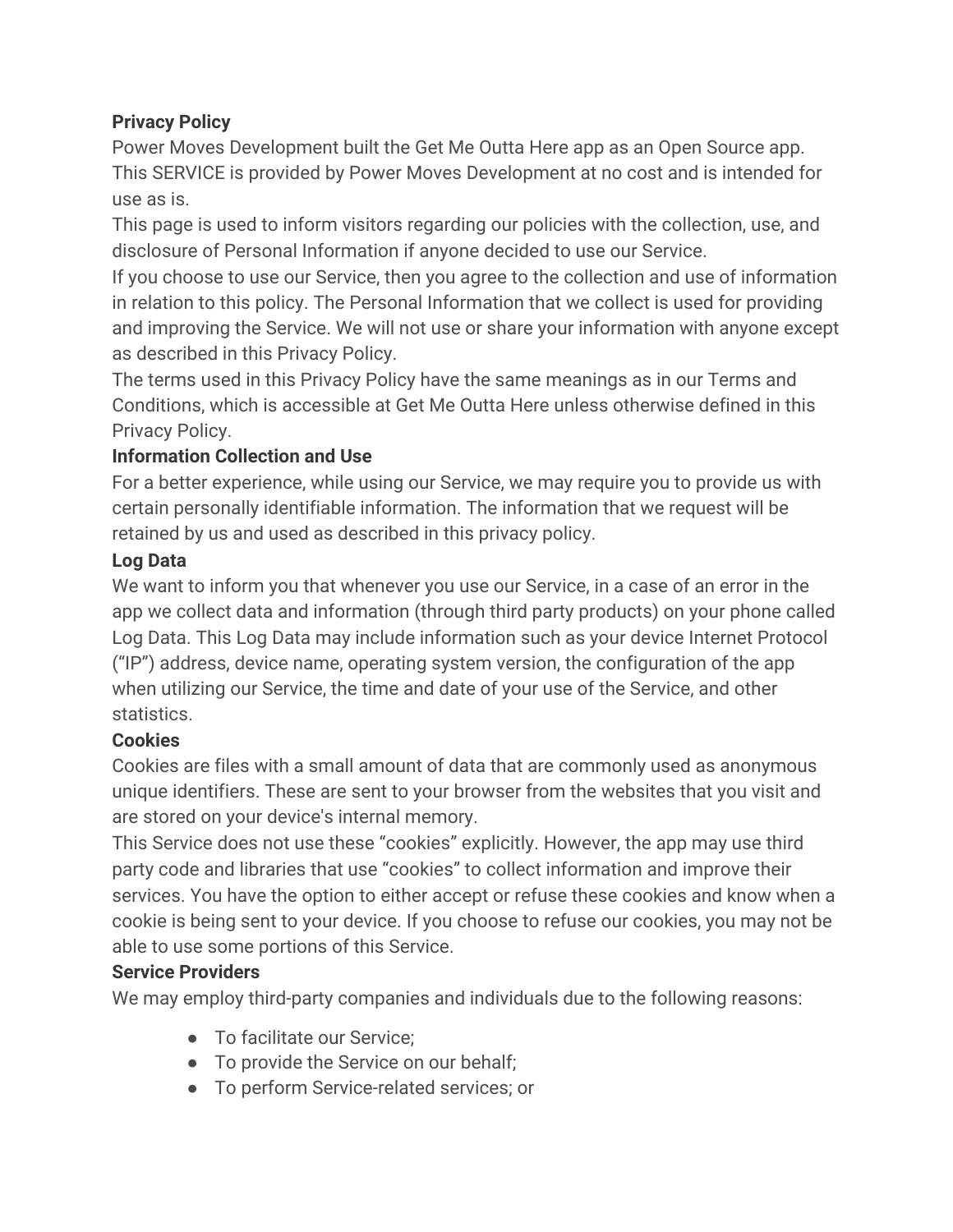## **Privacy Policy**

Power Moves Development built the Get Me Outta Here app as an Open Source app. This SERVICE is provided by Power Moves Development at no cost and is intended for use as is.

This page is used to inform visitors regarding our policies with the collection, use, and disclosure of Personal Information if anyone decided to use our Service.

If you choose to use our Service, then you agree to the collection and use of information in relation to this policy. The Personal Information that we collect is used for providing and improving the Service. We will not use or share your information with anyone except as described in this Privacy Policy.

The terms used in this Privacy Policy have the same meanings as in our Terms and Conditions, which is accessible at Get Me Outta Here unless otherwise defined in this Privacy Policy.

## **Information Collection and Use**

For a better experience, while using our Service, we may require you to provide us with certain personally identifiable information. The information that we request will be retained by us and used as described in this privacy policy.

## **Log Data**

We want to inform you that whenever you use our Service, in a case of an error in the app we collect data and information (through third party products) on your phone called Log Data. This Log Data may include information such as your device Internet Protocol ("IP") address, device name, operating system version, the configuration of the app when utilizing our Service, the time and date of your use of the Service, and other statistics.

# **Cookies**

Cookies are files with a small amount of data that are commonly used as anonymous unique identifiers. These are sent to your browser from the websites that you visit and are stored on your device's internal memory.

This Service does not use these "cookies" explicitly. However, the app may use third party code and libraries that use "cookies" to collect information and improve their services. You have the option to either accept or refuse these cookies and know when a cookie is being sent to your device. If you choose to refuse our cookies, you may not be able to use some portions of this Service.

### **Service Providers**

We may employ third-party companies and individuals due to the following reasons:

- To facilitate our Service:
- To provide the Service on our behalf:
- To perform Service-related services; or